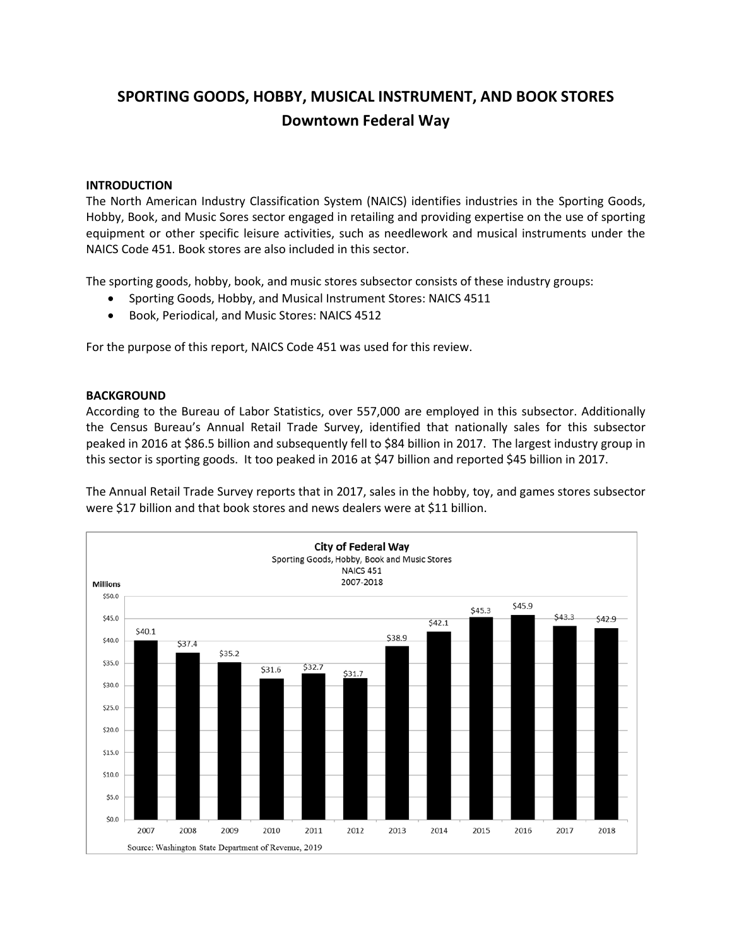# **SPORTING GOODS, HOBBY, MUSICAL INSTRUMENT, AND BOOK STORES Downtown Federal Way**

## **INTRODUCTION**

The North American Industry Classification System (NAICS) identifies industries in the Sporting Goods, Hobby, Book, and Music Sores sector engaged in retailing and providing expertise on the use of sporting equipment or other specific leisure activities, such as needlework and musical instruments under the NAICS Code 451. Book stores are also included in this sector.

The sporting goods, hobby, book, and music stores subsector consists of these industry groups:

- Sporting Goods, Hobby, and Musical Instrument Stores: NAICS 4511
- Book, Periodical, and Music Stores: NAICS 4512

For the purpose of this report, NAICS Code 451 was used for this review.

## **BACKGROUND**

According to the Bureau of Labor Statistics, over 557,000 are employed in this subsector. Additionally the Census Bureau's Annual Retail Trade Survey, identified that nationally sales for this subsector peaked in 2016 at \$86.5 billion and subsequently fell to \$84 billion in 2017. The largest industry group in this sector is sporting goods. It too peaked in 2016 at \$47 billion and reported \$45 billion in 2017.

The Annual Retail Trade Survey reports that in 2017, sales in the hobby, toy, and games stores subsector were \$17 billion and that book stores and news dealers were at \$11 billion.

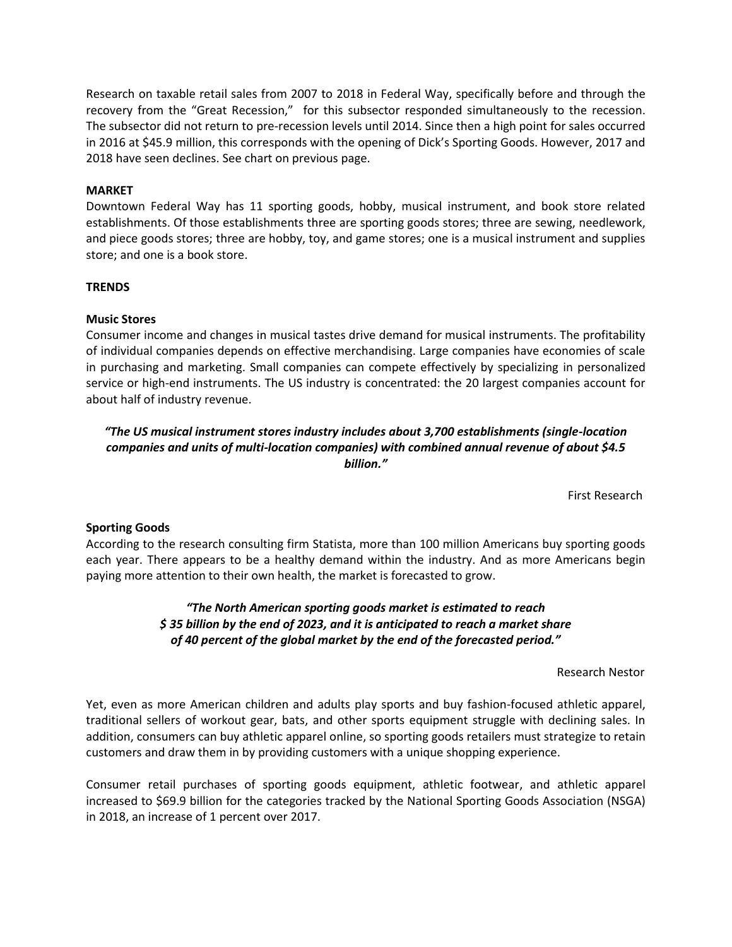Research on taxable retail sales from 2007 to 2018 in Federal Way, specifically before and through the recovery from the "Great Recession," for this subsector responded simultaneously to the recession. The subsector did not return to pre-recession levels until 2014. Since then a high point for sales occurred in 2016 at \$45.9 million, this corresponds with the opening of Dick's Sporting Goods. However, 2017 and 2018 have seen declines. See chart on previous page.

## **MARKET**

Downtown Federal Way has 11 sporting goods, hobby, musical instrument, and book store related establishments. Of those establishments three are sporting goods stores; three are sewing, needlework, and piece goods stores; three are hobby, toy, and game stores; one is a musical instrument and supplies store; and one is a book store.

## **TRENDS**

## **Music Stores**

Consumer income and changes in musical tastes drive demand for musical instruments. The profitability of individual companies depends on effective merchandising. Large companies have economies of scale in purchasing and marketing. Small companies can compete effectively by specializing in personalized service or high-end instruments. The US industry is concentrated: the 20 largest companies account for about half of industry revenue.

## *"The US musical instrument stores industry includes about 3,700 establishments (single-location companies and units of multi-location companies) with combined annual revenue of about \$4.5 billion."*

First Research

## **Sporting Goods**

According to the research consulting firm Statista, more than 100 million Americans buy sporting goods each year. There appears to be a healthy demand within the industry. And as more Americans begin paying more attention to their own health, the market is forecasted to grow.

## *"The North American sporting goods market is estimated to reach \$ 35 billion by the end of 2023, and it is anticipated to reach a market share of 40 percent of the global market by the end of the forecasted period."*

Research Nestor

Yet, even as more American children and adults play sports and buy fashion-focused athletic apparel, traditional sellers of workout gear, bats, and other sports equipment struggle with declining sales. In addition, consumers can buy athletic apparel online, so sporting goods retailers must strategize to retain customers and draw them in by providing customers with a unique shopping experience.

Consumer retail purchases of sporting goods equipment, athletic footwear, and athletic apparel increased to \$69.9 billion for the categories tracked by the National Sporting Goods Association (NSGA) in 2018, an increase of 1 percent over 2017.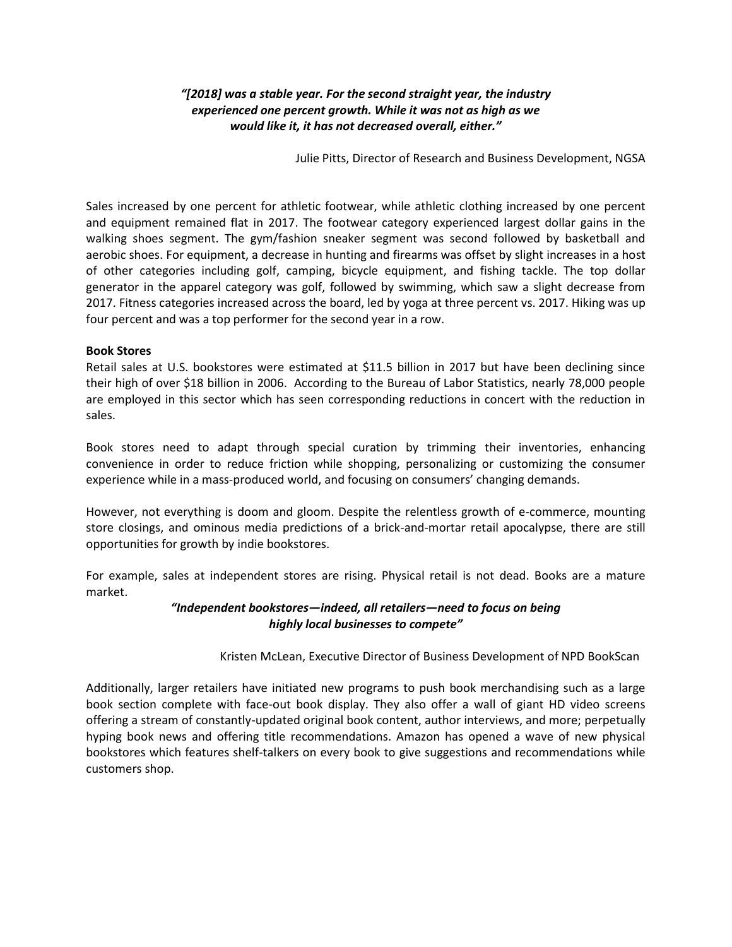## *"[2018] was a stable year. For the second straight year, the industry experienced one percent growth. While it was not as high as we would like it, it has not decreased overall, either."*

Julie Pitts, Director of Research and Business Development, NGSA

Sales increased by one percent for athletic footwear, while athletic clothing increased by one percent and equipment remained flat in 2017. The footwear category experienced largest dollar gains in the walking shoes segment. The gym/fashion sneaker segment was second followed by basketball and aerobic shoes. For equipment, a decrease in hunting and firearms was offset by slight increases in a host of other categories including golf, camping, bicycle equipment, and fishing tackle. The top dollar generator in the apparel category was golf, followed by swimming, which saw a slight decrease from 2017. Fitness categories increased across the board, led by yoga at three percent vs. 2017. Hiking was up four percent and was a top performer for the second year in a row.

## **Book Stores**

Retail sales at U.S. bookstores were estimated at \$11.5 billion in 2017 but have been declining since their high of over \$18 billion in 2006. According to the Bureau of Labor Statistics, nearly 78,000 people are employed in this sector which has seen corresponding reductions in concert with the reduction in sales.

Book stores need to adapt through special curation by trimming their inventories, enhancing convenience in order to reduce friction while shopping, personalizing or customizing the consumer experience while in a mass-produced world, and focusing on consumers' changing demands.

However, not everything is doom and gloom. Despite the relentless growth of e-commerce, mounting store closings, and ominous media predictions of a brick-and-mortar retail apocalypse, there are still opportunities for growth by indie bookstores.

For example, sales at independent stores are rising. Physical retail is not dead. Books are a mature market.

## *"Independent bookstores—indeed, all retailers—need to focus on being highly local businesses to compete"*

## Kristen McLean, Executive Director of Business Development of NPD BookScan

Additionally, larger retailers have initiated new programs to push book merchandising such as a large book section complete with face-out book display. They also offer a wall of giant HD video screens offering a stream of constantly-updated original book content, author interviews, and more; perpetually hyping book news and offering title recommendations. Amazon has opened a wave of new physical bookstores which features shelf-talkers on every book to give suggestions and recommendations while customers shop.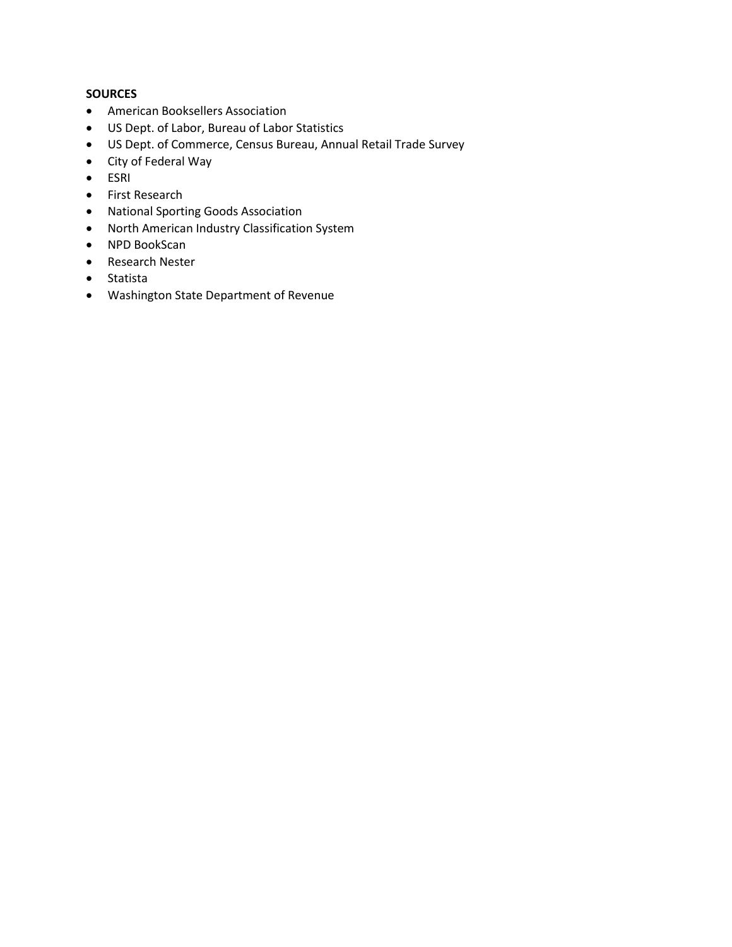## **SOURCES**

- American Booksellers Association
- US Dept. of Labor, Bureau of Labor Statistics
- US Dept. of Commerce, Census Bureau, Annual Retail Trade Survey
- City of Federal Way
- ESRI
- First Research
- National Sporting Goods Association
- North American Industry Classification System
- NPD BookScan
- Research Nester
- Statista
- Washington State Department of Revenue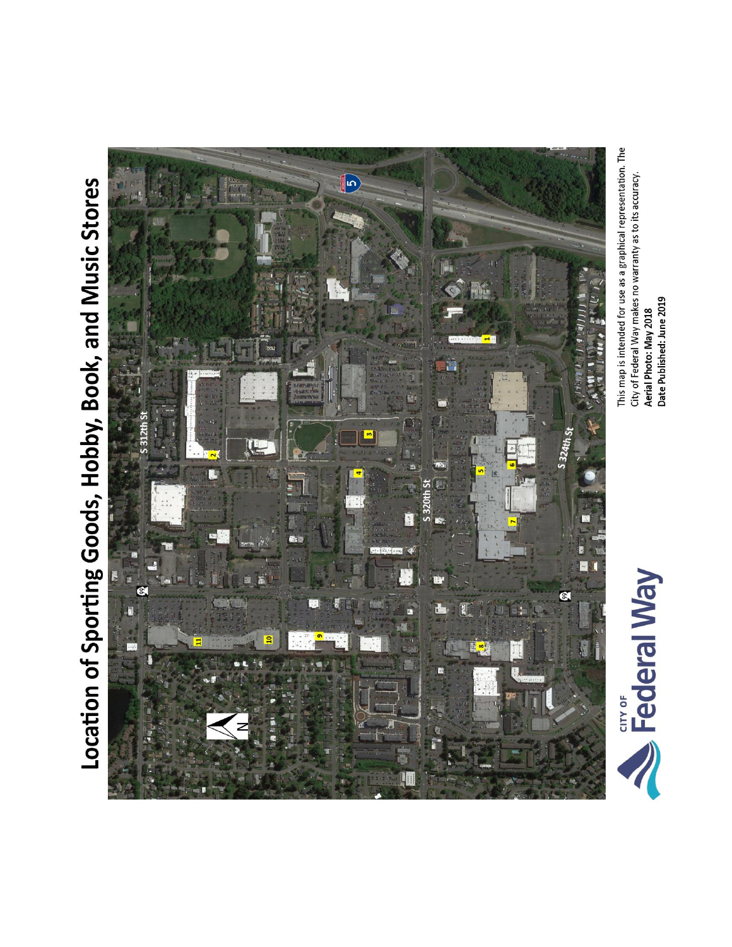# Location of Sporting Goods, Hobby, Book, and Music Stores



This map is intended for use as a graphical representation. The City of Federal Way makes no warranty as to its accuracy. Aerial Photo: May 2018<br>Date Published: June 2019

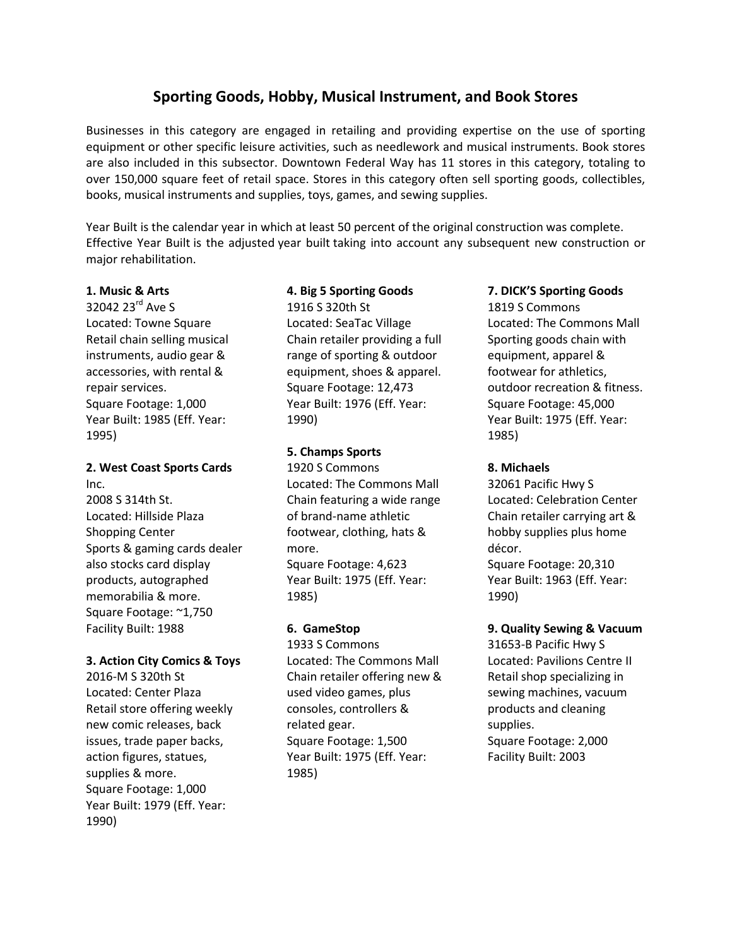## **Sporting Goods, Hobby, Musical Instrument, and Book Stores**

Businesses in this category are engaged in retailing and providing expertise on the use of sporting equipment or other specific leisure activities, such as needlework and musical instruments. Book stores are also included in this subsector. Downtown Federal Way has 11 stores in this category, totaling to over 150,000 square feet of retail space. Stores in this category often sell sporting goods, collectibles, books, musical instruments and supplies, toys, games, and sewing supplies.

Year Built is the calendar year in which at least 50 percent of the original construction was complete. Effective Year Built is the adjusted year built taking into account any subsequent new construction or major rehabilitation.

## **1. Music & Arts**

32042 23<sup>rd</sup> Ave S Located: Towne Square Retail chain selling musical instruments, audio gear & accessories, with rental & repair services. Square Footage: 1,000 Year Built: 1985 (Eff. Year: 1995)

## **2. West Coast Sports Cards**  Inc.

2008 S 314th St. Located: Hillside Plaza Shopping Center Sports & gaming cards dealer also stocks card display products, autographed memorabilia & more. Square Footage: ~1,750 Facility Built: 1988

## **3. Action City Comics & Toys**

2016-M S 320th St Located: Center Plaza Retail store offering weekly new comic releases, back issues, trade paper backs, action figures, statues, supplies & more. Square Footage: 1,000 Year Built: 1979 (Eff. Year: 1990)

## **4. Big 5 Sporting Goods**

1916 S 320th St Located: SeaTac Village Chain retailer providing a full range of sporting & outdoor equipment, shoes & apparel. Square Footage: 12,473 Year Built: 1976 (Eff. Year: 1990)

## **5. Champs Sports**

1920 S Commons Located: The Commons Mall Chain featuring a wide range of brand-name athletic footwear, clothing, hats & more. Square Footage: 4,623 Year Built: 1975 (Eff. Year: 1985)

## **6. GameStop**

1933 S Commons Located: The Commons Mall Chain retailer offering new & used video games, plus consoles, controllers & related gear. Square Footage: 1,500 Year Built: 1975 (Eff. Year: 1985)

## **7. DICK'S Sporting Goods**

1819 S Commons Located: The Commons Mall Sporting goods chain with equipment, apparel & footwear for athletics, outdoor recreation & fitness. Square Footage: 45,000 Year Built: 1975 (Eff. Year: 1985)

## **8. Michaels**

32061 Pacific Hwy S Located: Celebration Center Chain retailer carrying art & hobby supplies plus home décor. Square Footage: 20,310 Year Built: 1963 (Eff. Year: 1990)

## **9. Quality Sewing & Vacuum**

31653-B Pacific Hwy S Located: Pavilions Centre II Retail shop specializing in sewing machines, vacuum products and cleaning supplies. Square Footage: 2,000 Facility Built: 2003